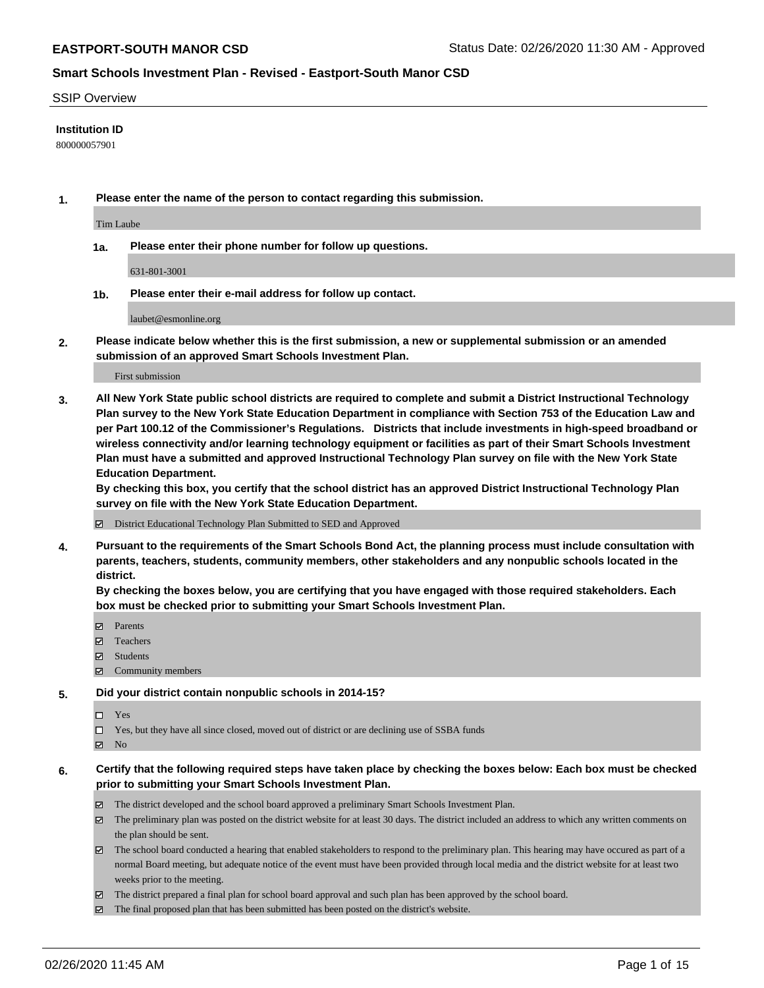#### SSIP Overview

### **Institution ID**

800000057901

**1. Please enter the name of the person to contact regarding this submission.**

Tim Laube

**1a. Please enter their phone number for follow up questions.**

631-801-3001

**1b. Please enter their e-mail address for follow up contact.**

laubet@esmonline.org

**2. Please indicate below whether this is the first submission, a new or supplemental submission or an amended submission of an approved Smart Schools Investment Plan.**

#### First submission

**3. All New York State public school districts are required to complete and submit a District Instructional Technology Plan survey to the New York State Education Department in compliance with Section 753 of the Education Law and per Part 100.12 of the Commissioner's Regulations. Districts that include investments in high-speed broadband or wireless connectivity and/or learning technology equipment or facilities as part of their Smart Schools Investment Plan must have a submitted and approved Instructional Technology Plan survey on file with the New York State Education Department.** 

**By checking this box, you certify that the school district has an approved District Instructional Technology Plan survey on file with the New York State Education Department.**

District Educational Technology Plan Submitted to SED and Approved

**4. Pursuant to the requirements of the Smart Schools Bond Act, the planning process must include consultation with parents, teachers, students, community members, other stakeholders and any nonpublic schools located in the district.** 

**By checking the boxes below, you are certifying that you have engaged with those required stakeholders. Each box must be checked prior to submitting your Smart Schools Investment Plan.**

- **マ** Parents
- Teachers
- Students
- $\Xi$  Community members

#### **5. Did your district contain nonpublic schools in 2014-15?**

 $\neg$  Yes

Yes, but they have all since closed, moved out of district or are declining use of SSBA funds

**Z** No

### **6. Certify that the following required steps have taken place by checking the boxes below: Each box must be checked prior to submitting your Smart Schools Investment Plan.**

- The district developed and the school board approved a preliminary Smart Schools Investment Plan.
- $\boxtimes$  The preliminary plan was posted on the district website for at least 30 days. The district included an address to which any written comments on the plan should be sent.
- $\boxtimes$  The school board conducted a hearing that enabled stakeholders to respond to the preliminary plan. This hearing may have occured as part of a normal Board meeting, but adequate notice of the event must have been provided through local media and the district website for at least two weeks prior to the meeting.
- The district prepared a final plan for school board approval and such plan has been approved by the school board.
- $\boxtimes$  The final proposed plan that has been submitted has been posted on the district's website.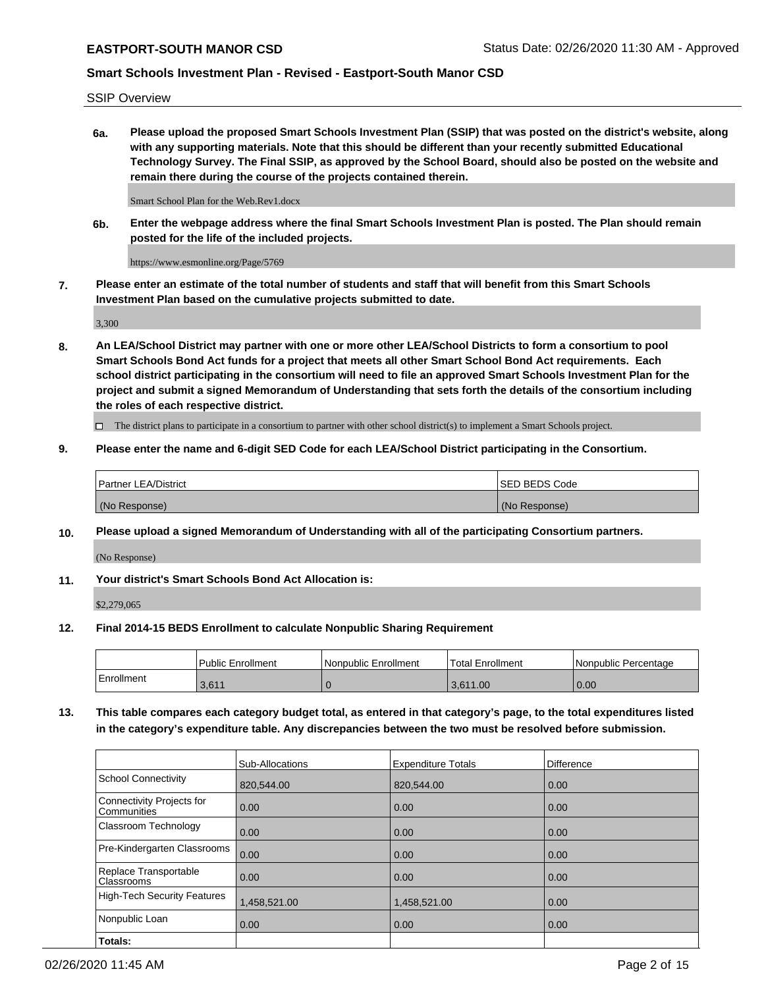SSIP Overview

**6a. Please upload the proposed Smart Schools Investment Plan (SSIP) that was posted on the district's website, along with any supporting materials. Note that this should be different than your recently submitted Educational Technology Survey. The Final SSIP, as approved by the School Board, should also be posted on the website and remain there during the course of the projects contained therein.**

Smart School Plan for the Web.Rev1.docx

**6b. Enter the webpage address where the final Smart Schools Investment Plan is posted. The Plan should remain posted for the life of the included projects.**

https://www.esmonline.org/Page/5769

**7. Please enter an estimate of the total number of students and staff that will benefit from this Smart Schools Investment Plan based on the cumulative projects submitted to date.**

3,300

**8. An LEA/School District may partner with one or more other LEA/School Districts to form a consortium to pool Smart Schools Bond Act funds for a project that meets all other Smart School Bond Act requirements. Each school district participating in the consortium will need to file an approved Smart Schools Investment Plan for the project and submit a signed Memorandum of Understanding that sets forth the details of the consortium including the roles of each respective district.**

 $\Box$  The district plans to participate in a consortium to partner with other school district(s) to implement a Smart Schools project.

### **9. Please enter the name and 6-digit SED Code for each LEA/School District participating in the Consortium.**

| Partner LEA/District | ISED BEDS Code |
|----------------------|----------------|
| (No Response)        | (No Response)  |

### **10. Please upload a signed Memorandum of Understanding with all of the participating Consortium partners.**

(No Response)

**11. Your district's Smart Schools Bond Act Allocation is:**

\$2,279,065

#### **12. Final 2014-15 BEDS Enrollment to calculate Nonpublic Sharing Requirement**

|            | Public Enrollment | Nonpublic Enrollment | Total Enrollment  | l Nonpublic Percentage |
|------------|-------------------|----------------------|-------------------|------------------------|
| Enrollment | 3,611             |                      | 3.611.00<br>J,O I | 0.00                   |

**13. This table compares each category budget total, as entered in that category's page, to the total expenditures listed in the category's expenditure table. Any discrepancies between the two must be resolved before submission.**

|                                          | Sub-Allocations | <b>Expenditure Totals</b> | Difference |
|------------------------------------------|-----------------|---------------------------|------------|
| <b>School Connectivity</b>               | 820.544.00      | 820,544.00                | 0.00       |
| Connectivity Projects for<br>Communities | 0.00            | 0.00                      | 0.00       |
| Classroom Technology                     | 0.00            | 0.00                      | 0.00       |
| Pre-Kindergarten Classrooms              | 0.00            | 0.00                      | 0.00       |
| Replace Transportable<br>Classrooms      | 0.00            | 0.00                      | 0.00       |
| <b>High-Tech Security Features</b>       | 1,458,521.00    | 1,458,521.00              | 0.00       |
| Nonpublic Loan                           | 0.00            | 0.00                      | 0.00       |
| Totals:                                  |                 |                           |            |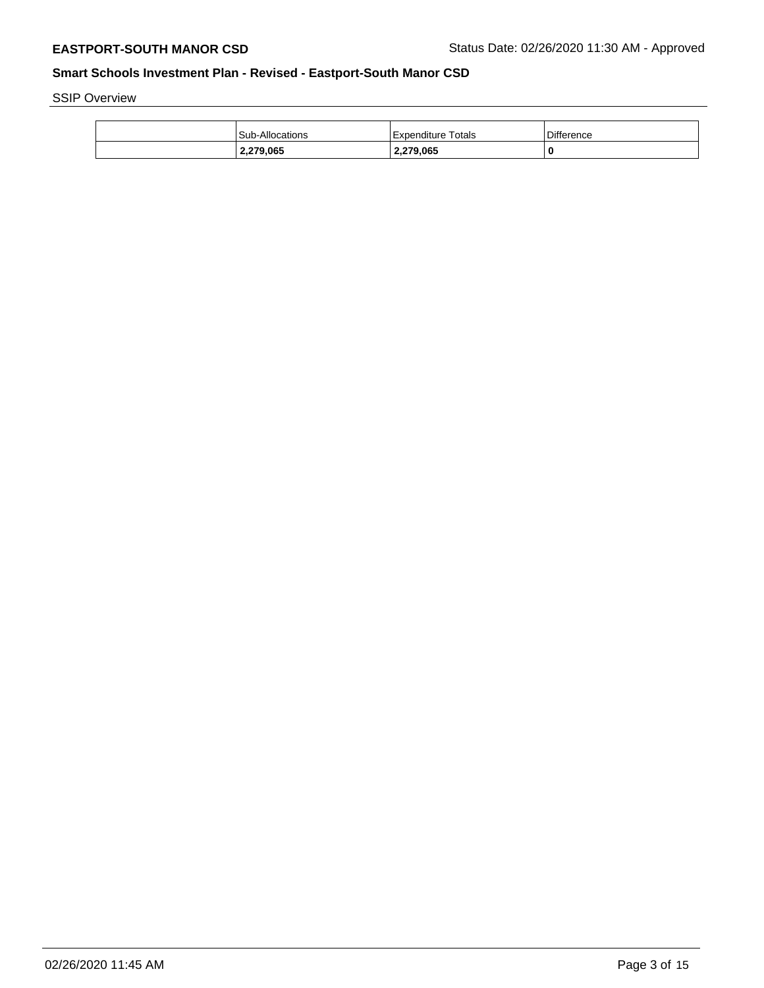SSIP Overview

| <b>Sub-Allocations</b> | <b>Expenditure Totals</b> | <b>Difference</b> |
|------------------------|---------------------------|-------------------|
| 2,279,065              | 2,279,065                 |                   |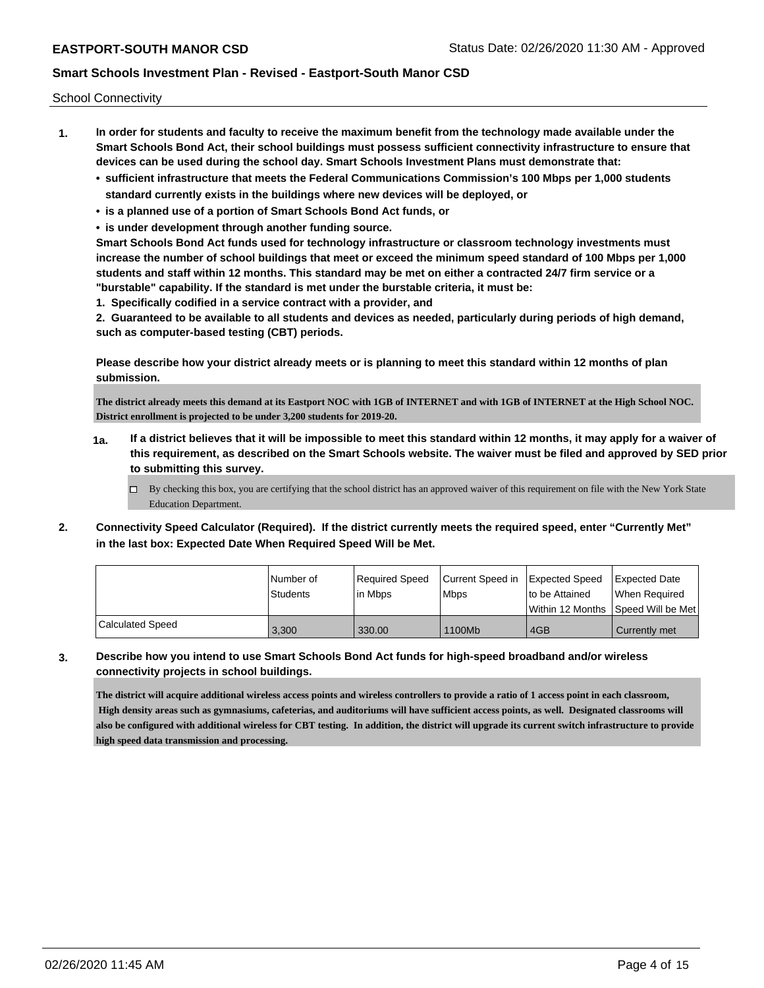School Connectivity

- **1. In order for students and faculty to receive the maximum benefit from the technology made available under the Smart Schools Bond Act, their school buildings must possess sufficient connectivity infrastructure to ensure that devices can be used during the school day. Smart Schools Investment Plans must demonstrate that:**
	- **• sufficient infrastructure that meets the Federal Communications Commission's 100 Mbps per 1,000 students standard currently exists in the buildings where new devices will be deployed, or**
	- **• is a planned use of a portion of Smart Schools Bond Act funds, or**
	- **• is under development through another funding source.**

**Smart Schools Bond Act funds used for technology infrastructure or classroom technology investments must increase the number of school buildings that meet or exceed the minimum speed standard of 100 Mbps per 1,000 students and staff within 12 months. This standard may be met on either a contracted 24/7 firm service or a "burstable" capability. If the standard is met under the burstable criteria, it must be:**

**1. Specifically codified in a service contract with a provider, and**

**2. Guaranteed to be available to all students and devices as needed, particularly during periods of high demand, such as computer-based testing (CBT) periods.**

**Please describe how your district already meets or is planning to meet this standard within 12 months of plan submission.**

**The district already meets this demand at its Eastport NOC with 1GB of INTERNET and with 1GB of INTERNET at the High School NOC. District enrollment is projected to be under 3,200 students for 2019-20.**

- **1a. If a district believes that it will be impossible to meet this standard within 12 months, it may apply for a waiver of this requirement, as described on the Smart Schools website. The waiver must be filed and approved by SED prior to submitting this survey.**
	- $\Box$  By checking this box, you are certifying that the school district has an approved waiver of this requirement on file with the New York State Education Department.
- **2. Connectivity Speed Calculator (Required). If the district currently meets the required speed, enter "Currently Met" in the last box: Expected Date When Required Speed Will be Met.**

|                  | l Number of     | Required Speed | Current Speed in Expected Speed |                | Expected Date                           |
|------------------|-----------------|----------------|---------------------------------|----------------|-----------------------------------------|
|                  | <b>Students</b> | lin Mbps       | <b>Mbps</b>                     | to be Attained | When Required                           |
|                  |                 |                |                                 |                | l Within 12 Months ISpeed Will be Met l |
| Calculated Speed | 3,300           | 330.00         | 1100Mb                          | 4GB            | Currently met                           |

**3. Describe how you intend to use Smart Schools Bond Act funds for high-speed broadband and/or wireless connectivity projects in school buildings.**

**The district will acquire additional wireless access points and wireless controllers to provide a ratio of 1 access point in each classroom, High density areas such as gymnasiums, cafeterias, and auditoriums will have sufficient access points, as well. Designated classrooms will also be configured with additional wireless for CBT testing. In addition, the district will upgrade its current switch infrastructure to provide high speed data transmission and processing.**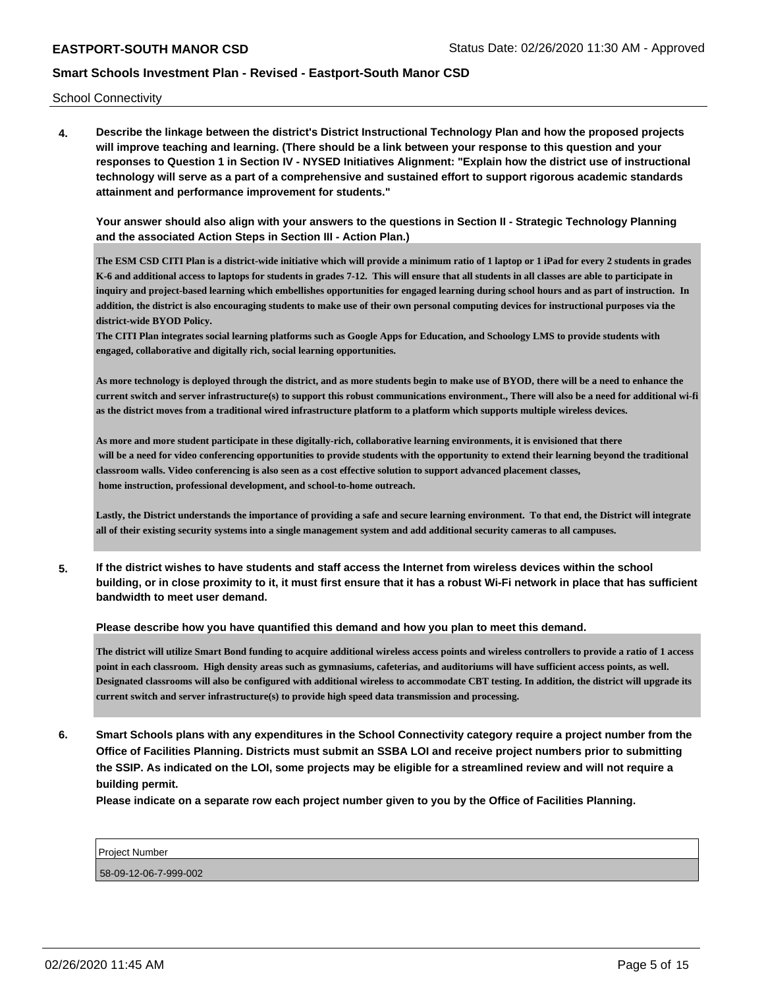School Connectivity

**4. Describe the linkage between the district's District Instructional Technology Plan and how the proposed projects will improve teaching and learning. (There should be a link between your response to this question and your responses to Question 1 in Section IV - NYSED Initiatives Alignment: "Explain how the district use of instructional technology will serve as a part of a comprehensive and sustained effort to support rigorous academic standards attainment and performance improvement for students."** 

**Your answer should also align with your answers to the questions in Section II - Strategic Technology Planning and the associated Action Steps in Section III - Action Plan.)**

**The ESM CSD CITI Plan is a district-wide initiative which will provide a minimum ratio of 1 laptop or 1 iPad for every 2 students in grades K-6 and additional access to laptops for students in grades 7-12. This will ensure that all students in all classes are able to participate in inquiry and project-based learning which embellishes opportunities for engaged learning during school hours and as part of instruction. In addition, the district is also encouraging students to make use of their own personal computing devices for instructional purposes via the district-wide BYOD Policy.**

**The CITI Plan integrates social learning platforms such as Google Apps for Education, and Schoology LMS to provide students with engaged, collaborative and digitally rich, social learning opportunities.** 

**As more technology is deployed through the district, and as more students begin to make use of BYOD, there will be a need to enhance the current switch and server infrastructure(s) to support this robust communications environment., There will also be a need for additional wi-fi as the district moves from a traditional wired infrastructure platform to a platform which supports multiple wireless devices.**

**As more and more student participate in these digitally-rich, collaborative learning environments, it is envisioned that there will be a need for video conferencing opportunities to provide students with the opportunity to extend their learning beyond the traditional classroom walls. Video conferencing is also seen as a cost effective solution to support advanced placement classes, home instruction, professional development, and school-to-home outreach.**

**Lastly, the District understands the importance of providing a safe and secure learning environment. To that end, the District will integrate all of their existing security systems into a single management system and add additional security cameras to all campuses.**

**5. If the district wishes to have students and staff access the Internet from wireless devices within the school building, or in close proximity to it, it must first ensure that it has a robust Wi-Fi network in place that has sufficient bandwidth to meet user demand.**

**Please describe how you have quantified this demand and how you plan to meet this demand.**

**The district will utilize Smart Bond funding to acquire additional wireless access points and wireless controllers to provide a ratio of 1 access point in each classroom. High density areas such as gymnasiums, cafeterias, and auditoriums will have sufficient access points, as well. Designated classrooms will also be configured with additional wireless to accommodate CBT testing. In addition, the district will upgrade its current switch and server infrastructure(s) to provide high speed data transmission and processing.** 

**6. Smart Schools plans with any expenditures in the School Connectivity category require a project number from the Office of Facilities Planning. Districts must submit an SSBA LOI and receive project numbers prior to submitting the SSIP. As indicated on the LOI, some projects may be eligible for a streamlined review and will not require a building permit.**

**Please indicate on a separate row each project number given to you by the Office of Facilities Planning.**

| <b>Project Number</b> |  |
|-----------------------|--|
| 58-09-12-06-7-999-002 |  |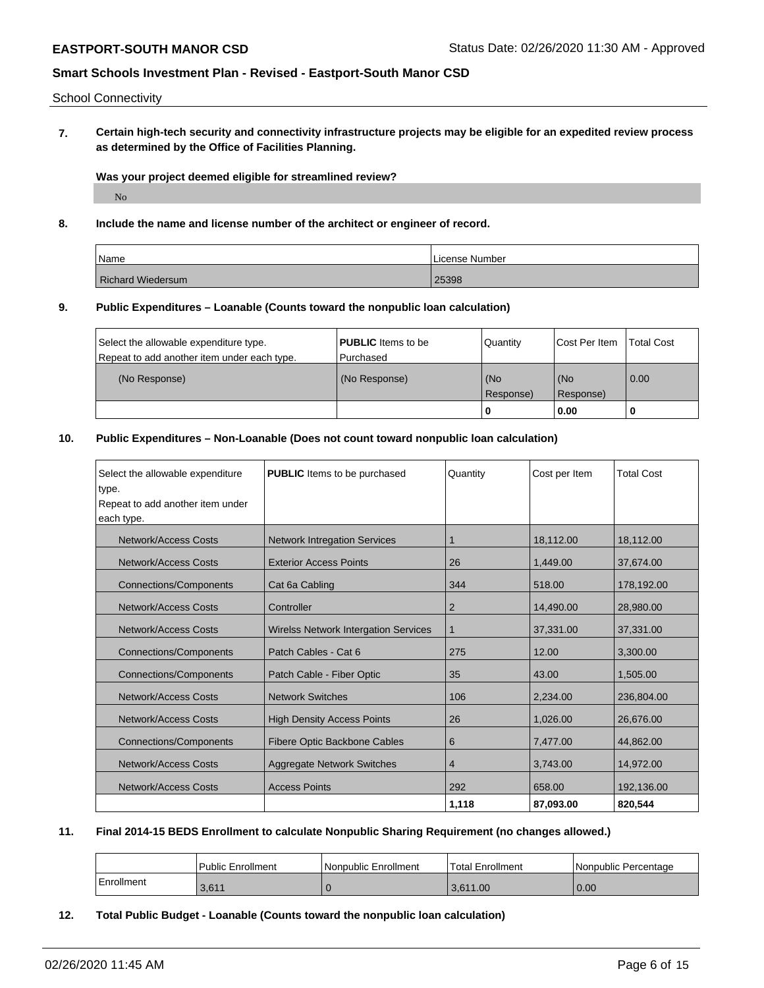### School Connectivity

**7. Certain high-tech security and connectivity infrastructure projects may be eligible for an expedited review process as determined by the Office of Facilities Planning.**

### **Was your project deemed eligible for streamlined review?**

No

### **8. Include the name and license number of the architect or engineer of record.**

| Name                     | License Number |
|--------------------------|----------------|
| <b>Richard Wiedersum</b> | 25398          |

# **9. Public Expenditures – Loanable (Counts toward the nonpublic loan calculation)**

| Select the allowable expenditure type.      | <b>PUBLIC</b> Items to be | Quantity         | Cost Per Item      | <b>Total Cost</b> |
|---------------------------------------------|---------------------------|------------------|--------------------|-------------------|
| Repeat to add another item under each type. | l Purchased               |                  |                    |                   |
| (No Response)                               | (No Response)             | (No<br>Response) | l (No<br>Response) | 0.00              |
|                                             |                           | 0                | 0.00               |                   |

# **10. Public Expenditures – Non-Loanable (Does not count toward nonpublic loan calculation)**

| Select the allowable expenditure<br>type.<br>Repeat to add another item under<br>each type. | <b>PUBLIC</b> Items to be purchased         | Quantity | Cost per Item | <b>Total Cost</b> |
|---------------------------------------------------------------------------------------------|---------------------------------------------|----------|---------------|-------------------|
| <b>Network/Access Costs</b>                                                                 | <b>Network Intregation Services</b>         | 1        | 18,112.00     | 18,112.00         |
| Network/Access Costs                                                                        | <b>Exterior Access Points</b>               | 26       | 1.449.00      | 37,674.00         |
| <b>Connections/Components</b>                                                               | Cat 6a Cabling                              | 344      | 518.00        | 178,192.00        |
| <b>Network/Access Costs</b>                                                                 | Controller                                  | 2        | 14,490.00     | 28,980.00         |
| Network/Access Costs                                                                        | <b>Wirelss Network Intergation Services</b> | 1        | 37,331.00     | 37,331.00         |
| <b>Connections/Components</b>                                                               | Patch Cables - Cat 6                        | 275      | 12.00         | 3,300.00          |
| <b>Connections/Components</b>                                                               | Patch Cable - Fiber Optic                   | 35       | 43.00         | 1,505.00          |
| Network/Access Costs                                                                        | <b>Network Switches</b>                     | 106      | 2.234.00      | 236,804.00        |
| Network/Access Costs                                                                        | <b>High Density Access Points</b>           | 26       | 1,026.00      | 26,676.00         |
| Connections/Components                                                                      | Fibere Optic Backbone Cables                | 6        | 7,477.00      | 44,862.00         |
| <b>Network/Access Costs</b>                                                                 | Aggregate Network Switches                  | 4        | 3,743.00      | 14,972.00         |
| Network/Access Costs                                                                        | <b>Access Points</b>                        | 292      | 658.00        | 192,136.00        |
|                                                                                             |                                             | 1,118    | 87.093.00     | 820,544           |

### **11. Final 2014-15 BEDS Enrollment to calculate Nonpublic Sharing Requirement (no changes allowed.)**

|            | <b>Public Enrollment</b> | Nonpublic Enrollment | Total Enrollment | Nonpublic Percentage |
|------------|--------------------------|----------------------|------------------|----------------------|
| Enrollment | 3.611                    |                      | 3.611.00         | 0.00                 |

#### **12. Total Public Budget - Loanable (Counts toward the nonpublic loan calculation)**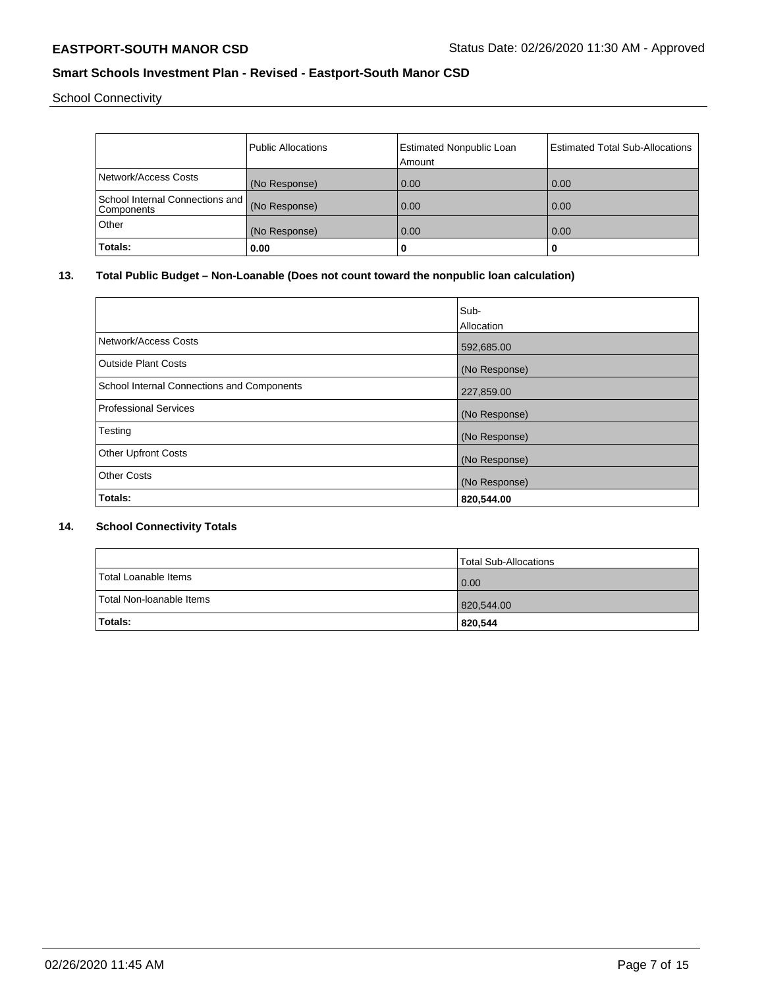School Connectivity

|                                               | <b>Public Allocations</b> | <b>Estimated Nonpublic Loan</b> | <b>Estimated Total Sub-Allocations</b> |
|-----------------------------------------------|---------------------------|---------------------------------|----------------------------------------|
|                                               |                           | Amount                          |                                        |
| Network/Access Costs                          | (No Response)             | 0.00                            | 0.00                                   |
| School Internal Connections and<br>Components | (No Response)             | 0.00                            | 0.00                                   |
| Other                                         | (No Response)             | 0.00                            | 0.00                                   |
| Totals:                                       | 0.00                      | 0                               | u                                      |

### **13. Total Public Budget – Non-Loanable (Does not count toward the nonpublic loan calculation)**

|                                            | Sub-<br>Allocation |
|--------------------------------------------|--------------------|
| Network/Access Costs                       | 592,685.00         |
| Outside Plant Costs                        | (No Response)      |
| School Internal Connections and Components | 227,859.00         |
| Professional Services                      | (No Response)      |
| Testing                                    | (No Response)      |
| <b>Other Upfront Costs</b>                 | (No Response)      |
| <b>Other Costs</b>                         | (No Response)      |
| Totals:                                    | 820,544.00         |

### **14. School Connectivity Totals**

|                          | Total Sub-Allocations |
|--------------------------|-----------------------|
| Total Loanable Items     | $\overline{0.00}$     |
| Total Non-Ioanable Items | 820,544.00            |
| <b>Totals:</b>           | 820,544               |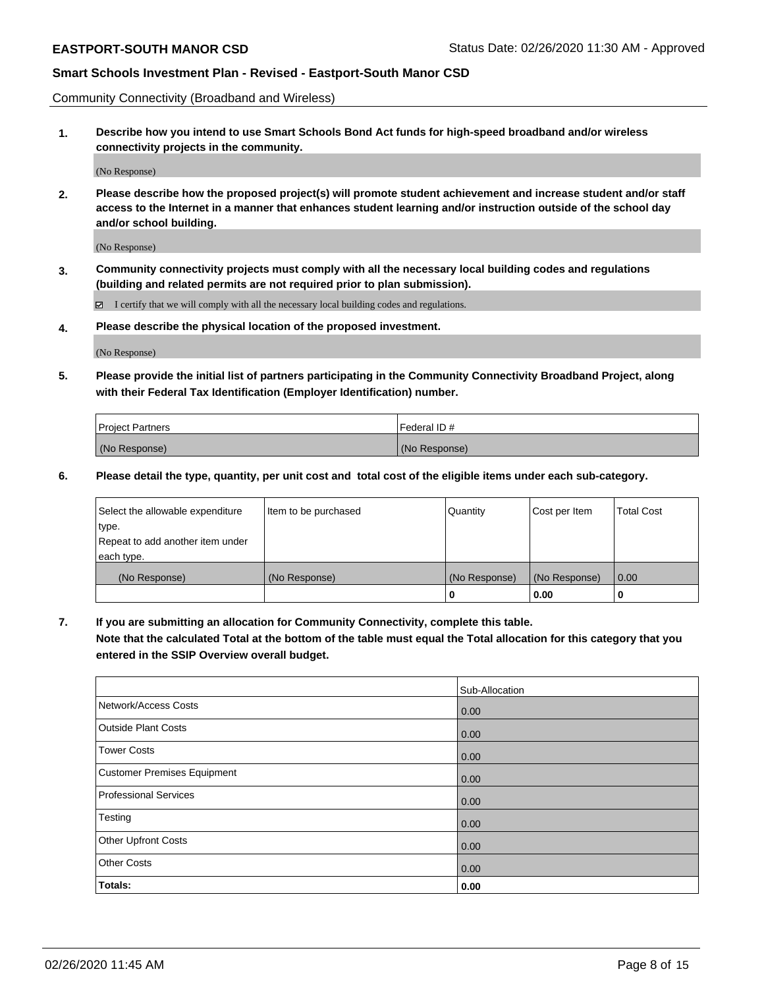Community Connectivity (Broadband and Wireless)

**1. Describe how you intend to use Smart Schools Bond Act funds for high-speed broadband and/or wireless connectivity projects in the community.**

(No Response)

**2. Please describe how the proposed project(s) will promote student achievement and increase student and/or staff access to the Internet in a manner that enhances student learning and/or instruction outside of the school day and/or school building.**

(No Response)

**3. Community connectivity projects must comply with all the necessary local building codes and regulations (building and related permits are not required prior to plan submission).**

 $\boxtimes$  I certify that we will comply with all the necessary local building codes and regulations.

**4. Please describe the physical location of the proposed investment.**

(No Response)

**5. Please provide the initial list of partners participating in the Community Connectivity Broadband Project, along with their Federal Tax Identification (Employer Identification) number.**

| <b>Project Partners</b> | l Federal ID # |
|-------------------------|----------------|
| (No Response)           | (No Response)  |

**6. Please detail the type, quantity, per unit cost and total cost of the eligible items under each sub-category.**

| Select the allowable expenditure | Item to be purchased | Quantity      | Cost per Item | <b>Total Cost</b> |
|----------------------------------|----------------------|---------------|---------------|-------------------|
| type.                            |                      |               |               |                   |
| Repeat to add another item under |                      |               |               |                   |
| each type.                       |                      |               |               |                   |
| (No Response)                    | (No Response)        | (No Response) | (No Response) | 0.00              |
|                                  |                      | o             | 0.00          |                   |

**7. If you are submitting an allocation for Community Connectivity, complete this table.**

**Note that the calculated Total at the bottom of the table must equal the Total allocation for this category that you entered in the SSIP Overview overall budget.**

|                             | Sub-Allocation |
|-----------------------------|----------------|
| Network/Access Costs        | 0.00           |
| <b>Outside Plant Costs</b>  | 0.00           |
| <b>Tower Costs</b>          | 0.00           |
| Customer Premises Equipment | 0.00           |
| Professional Services       | 0.00           |
| Testing                     | 0.00           |
| <b>Other Upfront Costs</b>  | 0.00           |
| <b>Other Costs</b>          | 0.00           |
| Totals:                     | 0.00           |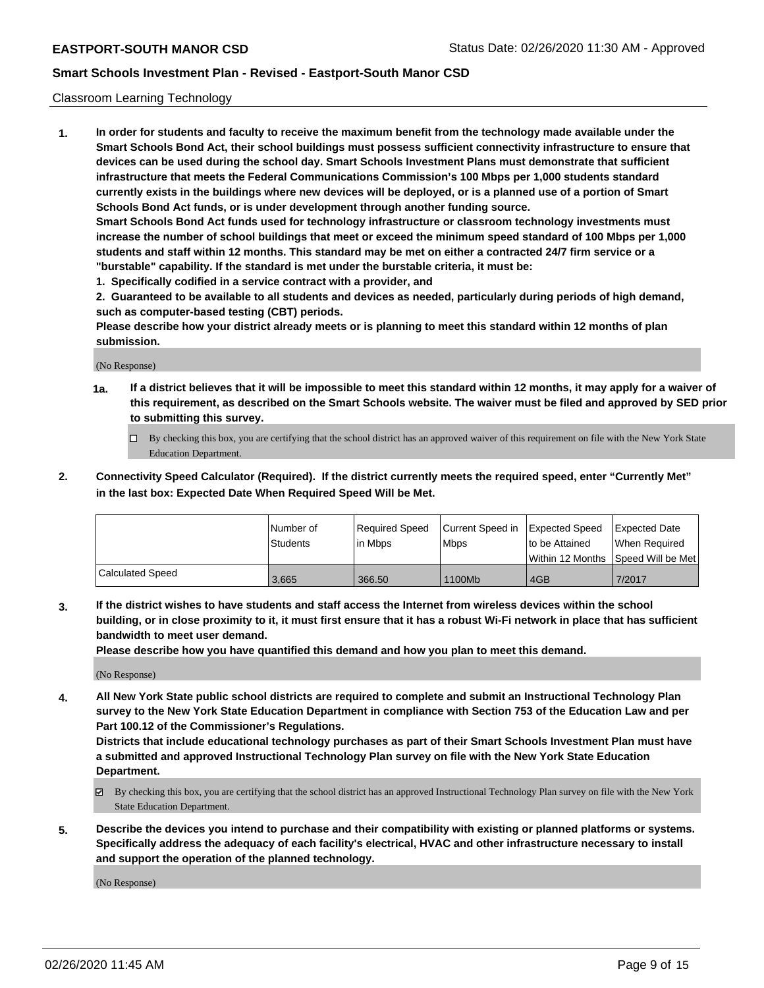### Classroom Learning Technology

**1. In order for students and faculty to receive the maximum benefit from the technology made available under the Smart Schools Bond Act, their school buildings must possess sufficient connectivity infrastructure to ensure that devices can be used during the school day. Smart Schools Investment Plans must demonstrate that sufficient infrastructure that meets the Federal Communications Commission's 100 Mbps per 1,000 students standard currently exists in the buildings where new devices will be deployed, or is a planned use of a portion of Smart Schools Bond Act funds, or is under development through another funding source. Smart Schools Bond Act funds used for technology infrastructure or classroom technology investments must increase the number of school buildings that meet or exceed the minimum speed standard of 100 Mbps per 1,000 students and staff within 12 months. This standard may be met on either a contracted 24/7 firm service or a**

- **"burstable" capability. If the standard is met under the burstable criteria, it must be:**
- **1. Specifically codified in a service contract with a provider, and**

**2. Guaranteed to be available to all students and devices as needed, particularly during periods of high demand, such as computer-based testing (CBT) periods.**

**Please describe how your district already meets or is planning to meet this standard within 12 months of plan submission.**

(No Response)

- **1a. If a district believes that it will be impossible to meet this standard within 12 months, it may apply for a waiver of this requirement, as described on the Smart Schools website. The waiver must be filed and approved by SED prior to submitting this survey.**
	- By checking this box, you are certifying that the school district has an approved waiver of this requirement on file with the New York State Education Department.
- **2. Connectivity Speed Calculator (Required). If the district currently meets the required speed, enter "Currently Met" in the last box: Expected Date When Required Speed Will be Met.**

|                  | l Number of | Required Speed | Current Speed in | Expected Speed | Expected Date                           |
|------------------|-------------|----------------|------------------|----------------|-----------------------------------------|
|                  | Students    | in Mbps        | l Mbps           | to be Attained | When Required                           |
|                  |             |                |                  |                | l Within 12 Months ISpeed Will be Met l |
| Calculated Speed | 3.665       | 366.50         | 1100Mb           | 4GB            | 7/2017                                  |

**3. If the district wishes to have students and staff access the Internet from wireless devices within the school building, or in close proximity to it, it must first ensure that it has a robust Wi-Fi network in place that has sufficient bandwidth to meet user demand.**

**Please describe how you have quantified this demand and how you plan to meet this demand.**

(No Response)

**4. All New York State public school districts are required to complete and submit an Instructional Technology Plan survey to the New York State Education Department in compliance with Section 753 of the Education Law and per Part 100.12 of the Commissioner's Regulations.**

**Districts that include educational technology purchases as part of their Smart Schools Investment Plan must have a submitted and approved Instructional Technology Plan survey on file with the New York State Education Department.**

- By checking this box, you are certifying that the school district has an approved Instructional Technology Plan survey on file with the New York State Education Department.
- **5. Describe the devices you intend to purchase and their compatibility with existing or planned platforms or systems. Specifically address the adequacy of each facility's electrical, HVAC and other infrastructure necessary to install and support the operation of the planned technology.**

(No Response)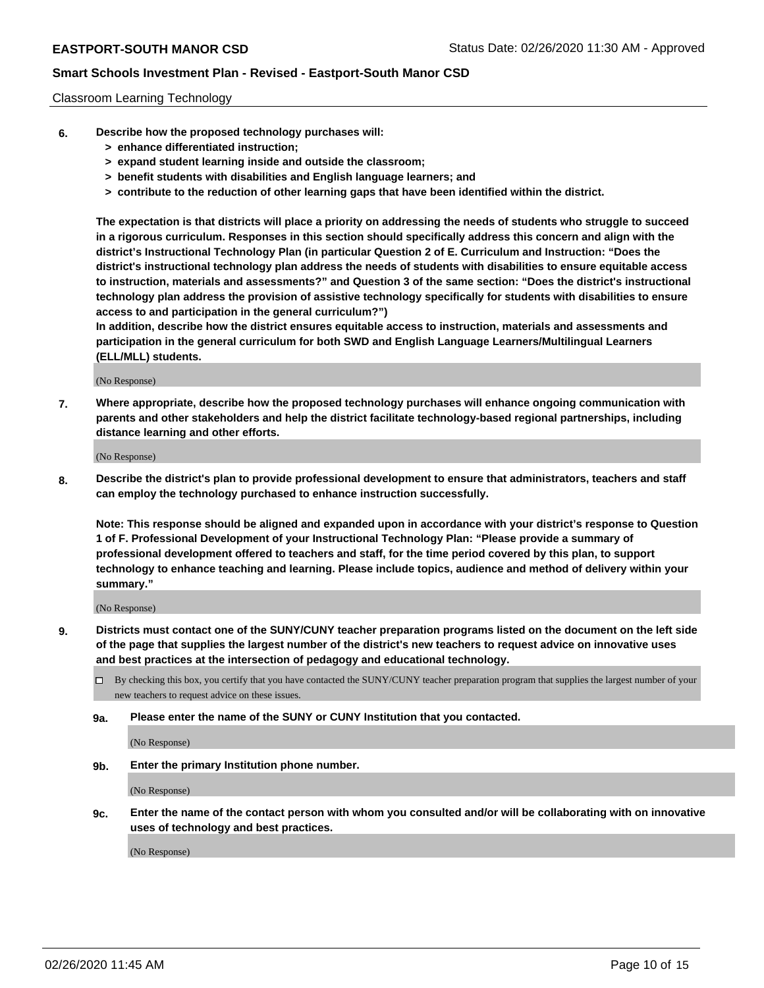### Classroom Learning Technology

- **6. Describe how the proposed technology purchases will:**
	- **> enhance differentiated instruction;**
	- **> expand student learning inside and outside the classroom;**
	- **> benefit students with disabilities and English language learners; and**
	- **> contribute to the reduction of other learning gaps that have been identified within the district.**

**The expectation is that districts will place a priority on addressing the needs of students who struggle to succeed in a rigorous curriculum. Responses in this section should specifically address this concern and align with the district's Instructional Technology Plan (in particular Question 2 of E. Curriculum and Instruction: "Does the district's instructional technology plan address the needs of students with disabilities to ensure equitable access to instruction, materials and assessments?" and Question 3 of the same section: "Does the district's instructional technology plan address the provision of assistive technology specifically for students with disabilities to ensure access to and participation in the general curriculum?")**

**In addition, describe how the district ensures equitable access to instruction, materials and assessments and participation in the general curriculum for both SWD and English Language Learners/Multilingual Learners (ELL/MLL) students.**

(No Response)

**7. Where appropriate, describe how the proposed technology purchases will enhance ongoing communication with parents and other stakeholders and help the district facilitate technology-based regional partnerships, including distance learning and other efforts.**

(No Response)

**8. Describe the district's plan to provide professional development to ensure that administrators, teachers and staff can employ the technology purchased to enhance instruction successfully.**

**Note: This response should be aligned and expanded upon in accordance with your district's response to Question 1 of F. Professional Development of your Instructional Technology Plan: "Please provide a summary of professional development offered to teachers and staff, for the time period covered by this plan, to support technology to enhance teaching and learning. Please include topics, audience and method of delivery within your summary."**

(No Response)

- **9. Districts must contact one of the SUNY/CUNY teacher preparation programs listed on the document on the left side of the page that supplies the largest number of the district's new teachers to request advice on innovative uses and best practices at the intersection of pedagogy and educational technology.**
	- By checking this box, you certify that you have contacted the SUNY/CUNY teacher preparation program that supplies the largest number of your new teachers to request advice on these issues.
	- **9a. Please enter the name of the SUNY or CUNY Institution that you contacted.**

(No Response)

**9b. Enter the primary Institution phone number.**

(No Response)

**9c. Enter the name of the contact person with whom you consulted and/or will be collaborating with on innovative uses of technology and best practices.**

(No Response)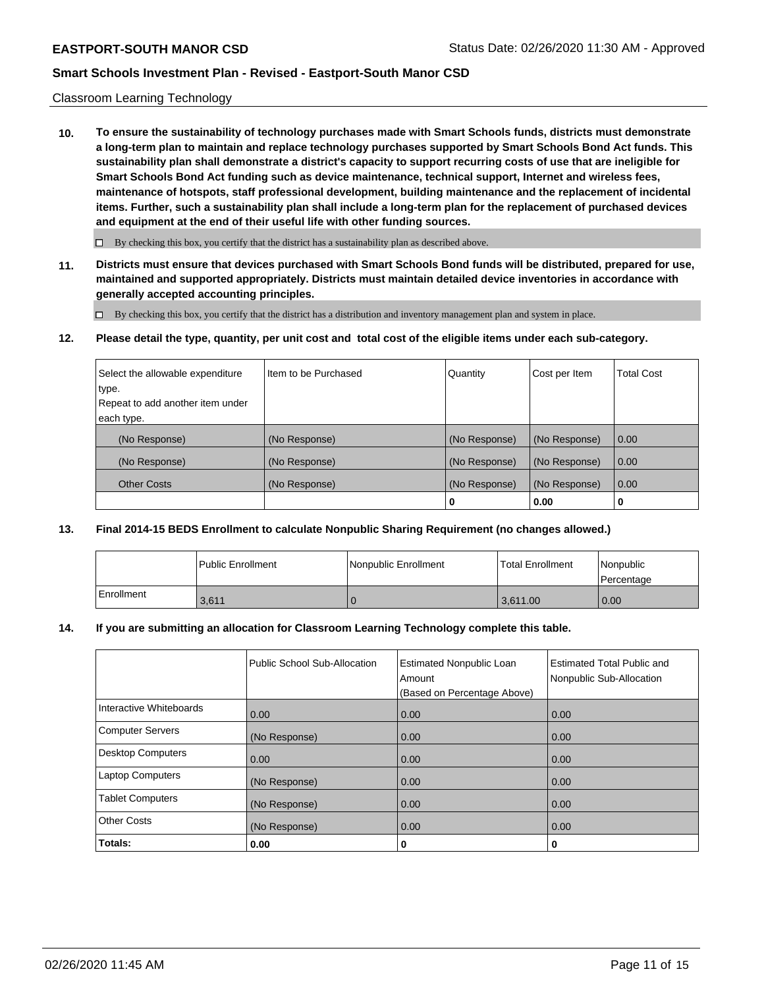### Classroom Learning Technology

**10. To ensure the sustainability of technology purchases made with Smart Schools funds, districts must demonstrate a long-term plan to maintain and replace technology purchases supported by Smart Schools Bond Act funds. This sustainability plan shall demonstrate a district's capacity to support recurring costs of use that are ineligible for Smart Schools Bond Act funding such as device maintenance, technical support, Internet and wireless fees, maintenance of hotspots, staff professional development, building maintenance and the replacement of incidental items. Further, such a sustainability plan shall include a long-term plan for the replacement of purchased devices and equipment at the end of their useful life with other funding sources.**

 $\Box$  By checking this box, you certify that the district has a sustainability plan as described above.

**11. Districts must ensure that devices purchased with Smart Schools Bond funds will be distributed, prepared for use, maintained and supported appropriately. Districts must maintain detailed device inventories in accordance with generally accepted accounting principles.**

By checking this box, you certify that the district has a distribution and inventory management plan and system in place.

**12. Please detail the type, quantity, per unit cost and total cost of the eligible items under each sub-category.**

| Select the allowable expenditure | Iltem to be Purchased | Quantity      | Cost per Item | <b>Total Cost</b> |
|----------------------------------|-----------------------|---------------|---------------|-------------------|
| type.                            |                       |               |               |                   |
| Repeat to add another item under |                       |               |               |                   |
| each type.                       |                       |               |               |                   |
| (No Response)                    | (No Response)         | (No Response) | (No Response) | 0.00              |
| (No Response)                    | (No Response)         | (No Response) | (No Response) | 0.00              |
| <b>Other Costs</b>               | (No Response)         | (No Response) | (No Response) | 0.00              |
|                                  |                       | 0             | 0.00          | 0                 |

### **13. Final 2014-15 BEDS Enrollment to calculate Nonpublic Sharing Requirement (no changes allowed.)**

|            | Public Enrollment | Nonpublic Enrollment | l Total Enrollment | Nonpublic<br>l Percentage |
|------------|-------------------|----------------------|--------------------|---------------------------|
| Enrollment | 3,611             |                      | 3.611.00           | 0.00                      |

### **14. If you are submitting an allocation for Classroom Learning Technology complete this table.**

|                          | Public School Sub-Allocation | <b>Estimated Nonpublic Loan</b><br>Amount<br>(Based on Percentage Above) | Estimated Total Public and<br>Nonpublic Sub-Allocation |
|--------------------------|------------------------------|--------------------------------------------------------------------------|--------------------------------------------------------|
| Interactive Whiteboards  | 0.00                         | 0.00                                                                     | 0.00                                                   |
| <b>Computer Servers</b>  | (No Response)                | 0.00                                                                     | 0.00                                                   |
| <b>Desktop Computers</b> | 0.00                         | 0.00                                                                     | 0.00                                                   |
| <b>Laptop Computers</b>  | (No Response)                | 0.00                                                                     | 0.00                                                   |
| <b>Tablet Computers</b>  | (No Response)                | 0.00                                                                     | 0.00                                                   |
| <b>Other Costs</b>       | (No Response)                | 0.00                                                                     | 0.00                                                   |
| Totals:                  | 0.00                         | 0                                                                        | 0                                                      |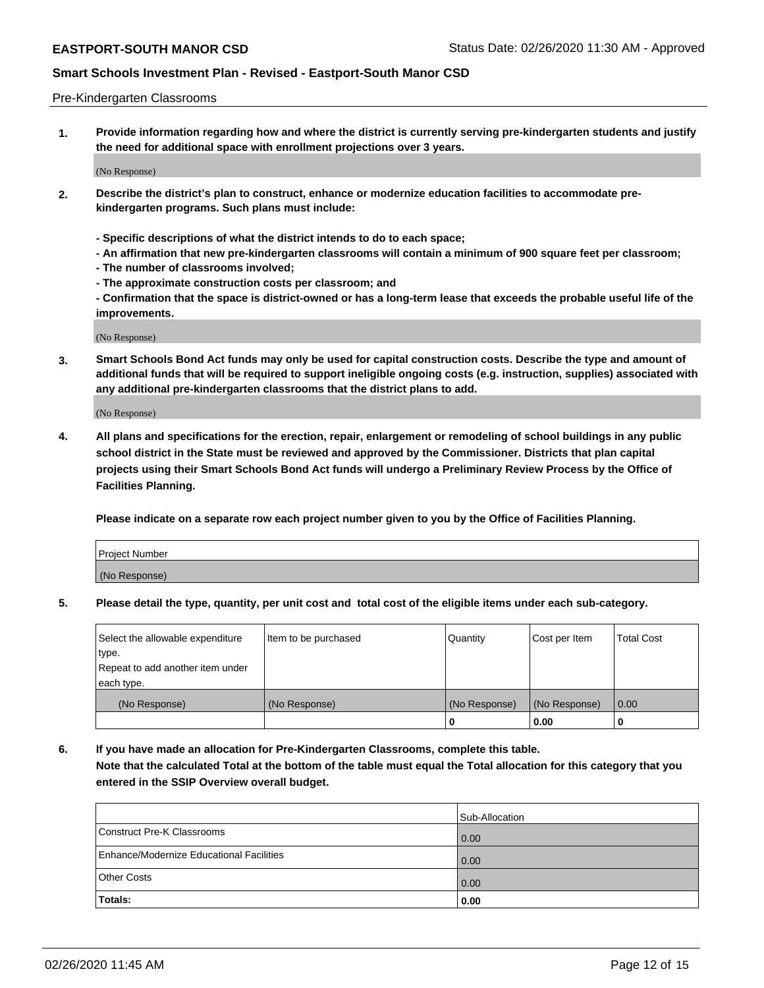#### Pre-Kindergarten Classrooms

**1. Provide information regarding how and where the district is currently serving pre-kindergarten students and justify the need for additional space with enrollment projections over 3 years.**

(No Response)

- **2. Describe the district's plan to construct, enhance or modernize education facilities to accommodate prekindergarten programs. Such plans must include:**
	- **Specific descriptions of what the district intends to do to each space;**
	- **An affirmation that new pre-kindergarten classrooms will contain a minimum of 900 square feet per classroom;**
	- **The number of classrooms involved;**
	- **The approximate construction costs per classroom; and**
	- **Confirmation that the space is district-owned or has a long-term lease that exceeds the probable useful life of the improvements.**

(No Response)

**3. Smart Schools Bond Act funds may only be used for capital construction costs. Describe the type and amount of additional funds that will be required to support ineligible ongoing costs (e.g. instruction, supplies) associated with any additional pre-kindergarten classrooms that the district plans to add.**

(No Response)

**4. All plans and specifications for the erection, repair, enlargement or remodeling of school buildings in any public school district in the State must be reviewed and approved by the Commissioner. Districts that plan capital projects using their Smart Schools Bond Act funds will undergo a Preliminary Review Process by the Office of Facilities Planning.**

**Please indicate on a separate row each project number given to you by the Office of Facilities Planning.**

| Project Number |  |
|----------------|--|
| (No Response)  |  |
|                |  |

**5. Please detail the type, quantity, per unit cost and total cost of the eligible items under each sub-category.**

| Select the allowable expenditure | Item to be purchased | Quantity      | Cost per Item | <b>Total Cost</b> |
|----------------------------------|----------------------|---------------|---------------|-------------------|
| type.                            |                      |               |               |                   |
| Repeat to add another item under |                      |               |               |                   |
| each type.                       |                      |               |               |                   |
| (No Response)                    | (No Response)        | (No Response) | (No Response) | 0.00              |
|                                  |                      | υ             | 0.00          |                   |

**6. If you have made an allocation for Pre-Kindergarten Classrooms, complete this table. Note that the calculated Total at the bottom of the table must equal the Total allocation for this category that you entered in the SSIP Overview overall budget.**

|                                          | Sub-Allocation |
|------------------------------------------|----------------|
| Construct Pre-K Classrooms               | 0.00           |
| Enhance/Modernize Educational Facilities | 0.00           |
| <b>Other Costs</b>                       | 0.00           |
| Totals:                                  | 0.00           |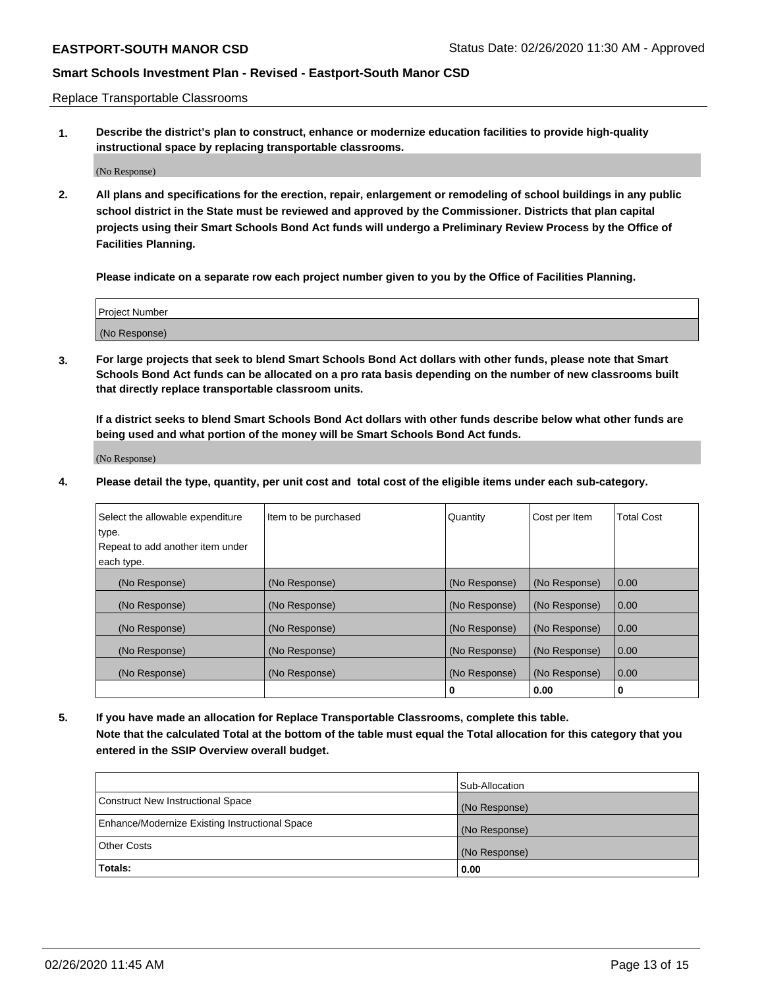Replace Transportable Classrooms

**1. Describe the district's plan to construct, enhance or modernize education facilities to provide high-quality instructional space by replacing transportable classrooms.**

(No Response)

**2. All plans and specifications for the erection, repair, enlargement or remodeling of school buildings in any public school district in the State must be reviewed and approved by the Commissioner. Districts that plan capital projects using their Smart Schools Bond Act funds will undergo a Preliminary Review Process by the Office of Facilities Planning.**

**Please indicate on a separate row each project number given to you by the Office of Facilities Planning.**

| Project Number |  |
|----------------|--|
|                |  |
|                |  |
|                |  |
|                |  |
| (No Response)  |  |
|                |  |
|                |  |
|                |  |

**3. For large projects that seek to blend Smart Schools Bond Act dollars with other funds, please note that Smart Schools Bond Act funds can be allocated on a pro rata basis depending on the number of new classrooms built that directly replace transportable classroom units.**

**If a district seeks to blend Smart Schools Bond Act dollars with other funds describe below what other funds are being used and what portion of the money will be Smart Schools Bond Act funds.**

(No Response)

**4. Please detail the type, quantity, per unit cost and total cost of the eligible items under each sub-category.**

| Select the allowable expenditure | Item to be purchased | Quantity      | Cost per Item | <b>Total Cost</b> |
|----------------------------------|----------------------|---------------|---------------|-------------------|
| type.                            |                      |               |               |                   |
| Repeat to add another item under |                      |               |               |                   |
| each type.                       |                      |               |               |                   |
| (No Response)                    | (No Response)        | (No Response) | (No Response) | 0.00              |
| (No Response)                    | (No Response)        | (No Response) | (No Response) | 0.00              |
| (No Response)                    | (No Response)        | (No Response) | (No Response) | 0.00              |
| (No Response)                    | (No Response)        | (No Response) | (No Response) | 0.00              |
| (No Response)                    | (No Response)        | (No Response) | (No Response) | 0.00              |
|                                  |                      | 0             | 0.00          | υ                 |

**5. If you have made an allocation for Replace Transportable Classrooms, complete this table. Note that the calculated Total at the bottom of the table must equal the Total allocation for this category that you entered in the SSIP Overview overall budget.**

|                                                | Sub-Allocation |
|------------------------------------------------|----------------|
| Construct New Instructional Space              | (No Response)  |
| Enhance/Modernize Existing Instructional Space | (No Response)  |
| <b>Other Costs</b>                             | (No Response)  |
| Totals:                                        | 0.00           |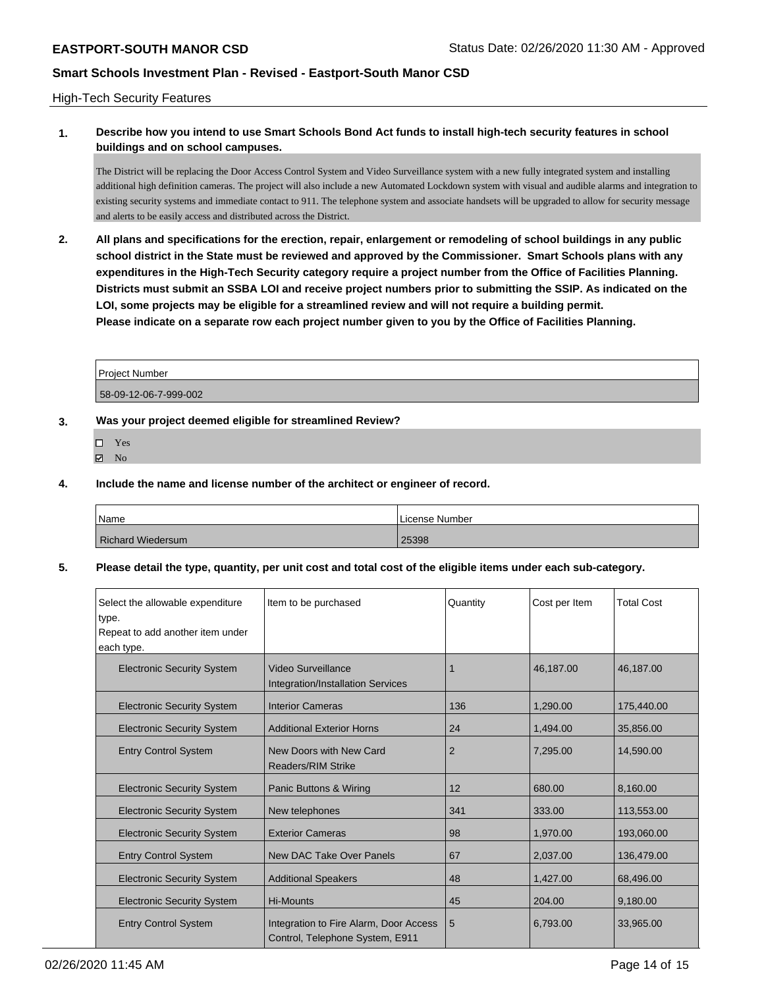#### High-Tech Security Features

# **1. Describe how you intend to use Smart Schools Bond Act funds to install high-tech security features in school buildings and on school campuses.**

The District will be replacing the Door Access Control System and Video Surveillance system with a new fully integrated system and installing additional high definition cameras. The project will also include a new Automated Lockdown system with visual and audible alarms and integration to existing security systems and immediate contact to 911. The telephone system and associate handsets will be upgraded to allow for security message and alerts to be easily access and distributed across the District.

**2. All plans and specifications for the erection, repair, enlargement or remodeling of school buildings in any public school district in the State must be reviewed and approved by the Commissioner. Smart Schools plans with any expenditures in the High-Tech Security category require a project number from the Office of Facilities Planning. Districts must submit an SSBA LOI and receive project numbers prior to submitting the SSIP. As indicated on the LOI, some projects may be eligible for a streamlined review and will not require a building permit. Please indicate on a separate row each project number given to you by the Office of Facilities Planning.**

| l Proiect Number      |  |
|-----------------------|--|
| 58-09-12-06-7-999-002 |  |

#### **3. Was your project deemed eligible for streamlined Review?**

- Yes
- $\boxtimes$  No

### **4. Include the name and license number of the architect or engineer of record.**

| Name                     | License Number |
|--------------------------|----------------|
| <b>Richard Wiedersum</b> | 25398          |

#### **5. Please detail the type, quantity, per unit cost and total cost of the eligible items under each sub-category.**

| Select the allowable expenditure<br>type.<br>Repeat to add another item under<br>each type. | Item to be purchased                                                      | Quantity       | Cost per Item | <b>Total Cost</b> |
|---------------------------------------------------------------------------------------------|---------------------------------------------------------------------------|----------------|---------------|-------------------|
| <b>Electronic Security System</b>                                                           | Video Surveillance<br>Integration/Installation Services                   | 1              | 46.187.00     | 46.187.00         |
| <b>Electronic Security System</b>                                                           | <b>Interior Cameras</b>                                                   | 136            | 1,290.00      | 175,440.00        |
| <b>Electronic Security System</b>                                                           | <b>Additional Exterior Horns</b>                                          | 24             | 1.494.00      | 35.856.00         |
| <b>Entry Control System</b>                                                                 | New Doors with New Card<br><b>Readers/RIM Strike</b>                      | $\overline{2}$ | 7,295.00      | 14,590.00         |
| <b>Electronic Security System</b>                                                           | Panic Buttons & Wiring                                                    | 12             | 680.00        | 8.160.00          |
| <b>Electronic Security System</b>                                                           | New telephones                                                            | 341            | 333.00        | 113,553.00        |
| <b>Electronic Security System</b>                                                           | <b>Exterior Cameras</b>                                                   | 98             | 1,970.00      | 193,060.00        |
| <b>Entry Control System</b>                                                                 | New DAC Take Over Panels                                                  | 67             | 2,037.00      | 136,479.00        |
| <b>Electronic Security System</b>                                                           | <b>Additional Speakers</b>                                                | 48             | 1,427.00      | 68,496.00         |
| <b>Electronic Security System</b>                                                           | <b>Hi-Mounts</b>                                                          | 45             | 204.00        | 9,180.00          |
| <b>Entry Control System</b>                                                                 | Integration to Fire Alarm, Door Access<br>Control, Telephone System, E911 | 5              | 6,793.00      | 33,965.00         |